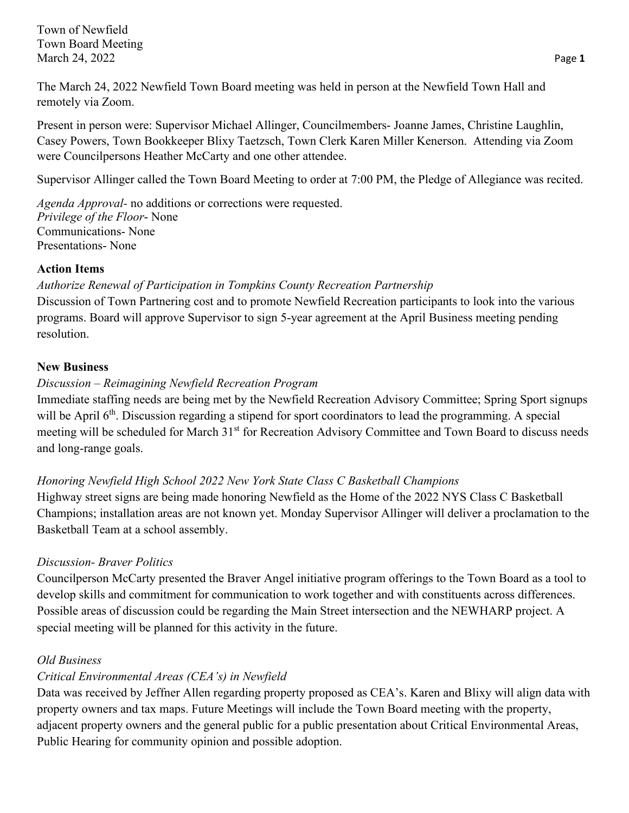Town of Newfield Town Board Meeting March 24, 2022 **Page 1** 

The March 24, 2022 Newfield Town Board meeting was held in person at the Newfield Town Hall and remotely via Zoom.

Present in person were: Supervisor Michael Allinger, Councilmembers- Joanne James, Christine Laughlin, Casey Powers, Town Bookkeeper Blixy Taetzsch, Town Clerk Karen Miller Kenerson. Attending via Zoom were Councilpersons Heather McCarty and one other attendee.

Supervisor Allinger called the Town Board Meeting to order at 7:00 PM, the Pledge of Allegiance was recited.

*Agenda Approval-* no additions or corrections were requested. *Privilege of the Floor*- None Communications- None Presentations- None

#### **Action Items**

### *Authorize Renewal of Participation in Tompkins County Recreation Partnership*

Discussion of Town Partnering cost and to promote Newfield Recreation participants to look into the various programs. Board will approve Supervisor to sign 5-year agreement at the April Business meeting pending resolution.

### **New Business**

### *Discussion – Reimagining Newfield Recreation Program*

Immediate staffing needs are being met by the Newfield Recreation Advisory Committee; Spring Sport signups will be April 6<sup>th</sup>. Discussion regarding a stipend for sport coordinators to lead the programming. A special meeting will be scheduled for March 31<sup>st</sup> for Recreation Advisory Committee and Town Board to discuss needs and long-range goals.

## *Honoring Newfield High School 2022 New York State Class C Basketball Champions*

Highway street signs are being made honoring Newfield as the Home of the 2022 NYS Class C Basketball Champions; installation areas are not known yet. Monday Supervisor Allinger will deliver a proclamation to the Basketball Team at a school assembly.

## *Discussion- Braver Politics*

Councilperson McCarty presented the Braver Angel initiative program offerings to the Town Board as a tool to develop skills and commitment for communication to work together and with constituents across differences. Possible areas of discussion could be regarding the Main Street intersection and the NEWHARP project. A special meeting will be planned for this activity in the future.

## *Old Business*

# *Critical Environmental Areas (CEA's) in Newfield*

Data was received by Jeffner Allen regarding property proposed as CEA's. Karen and Blixy will align data with property owners and tax maps. Future Meetings will include the Town Board meeting with the property, adjacent property owners and the general public for a public presentation about Critical Environmental Areas, Public Hearing for community opinion and possible adoption.